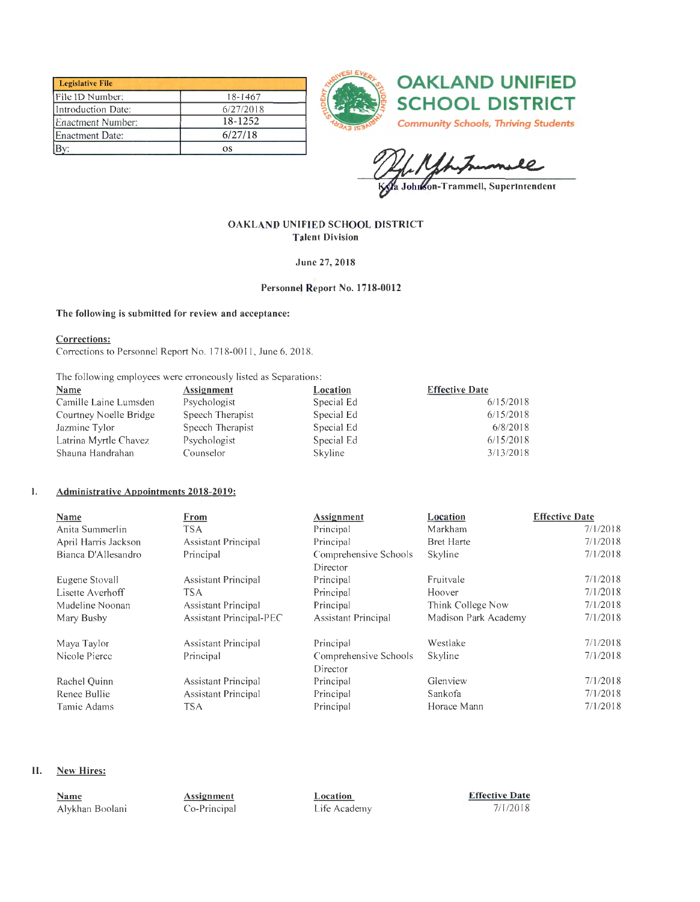| <b>Legislative File</b> |           |
|-------------------------|-----------|
| File ID Number:         | 18-1467   |
| Introduction Date:      | 6/27/2018 |
| Enactment Number:       | 18-1252   |
| Enactment Date:         | 6/27/18   |
|                         | <b>OS</b> |





Kyla Johnkon-Trammell, Superintendent

#### OAKLAND UNIFIED SCHOOL DISTRICT **Talent Division**

June 27, 2018

#### Personnel Report No. 1718-0012

#### The following is submitted for review and acceptance:

#### Corrections:

Corrections to Personnel Report No. 1718-0011, June 6, 2018.

The following employees were erroneously listed as Separations:

| <u>Name</u>            | <b>Assignment</b> | Location   | <b>Effective Date</b> |
|------------------------|-------------------|------------|-----------------------|
| Camille Laine Lumsden  | Psychologist      | Special Ed | 6/15/2018             |
| Courtney Noelle Bridge | Speech Therapist  | Special Ed | 6/15/2018             |
| Jazmine Tylor          | Speech Therapist  | Special Ed | 6/8/2018              |
| Latrina Myrtle Chavez  | Psychologist      | Special Ed | 6/15/2018             |
| Shauna Handrahan       | Counselor         | Skyline    | 3/13/2018             |

#### ${\bf I}.$ **Administrative Appointments 2018-2019:**

| Name                 | From                       | Assignment                 | Location             | <b>Effective Date</b> |
|----------------------|----------------------------|----------------------------|----------------------|-----------------------|
| Anita Summerlin      | <b>TSA</b>                 | Principal                  | Markham              | 7/1/2018              |
| April Harris Jackson | Assistant Principal        | Principal                  | <b>Bret Harte</b>    | 7/1/2018              |
| Bianca D'Allesandro  | Principal                  | Comprehensive Schools      | Skyline              | 7/1/2018              |
|                      |                            | Director                   |                      |                       |
| Eugene Stovall       | <b>Assistant Principal</b> | Principal                  | Fruitvale            | 7/1/2018              |
| Lisette Averhoff     | <b>TSA</b>                 | Principal                  | Hoover               | 7/1/2018              |
| Madeline Noonan      | <b>Assistant Principal</b> | Principal                  | Think College Now    | 7/1/2018              |
| Mary Busby           | Assistant Principal-PEC    | <b>Assistant Principal</b> | Madison Park Academy | 7/1/2018              |
| Maya Taylor          | Assistant Principal        | Principal                  | Westlake             | 7/1/2018              |
| Nicole Pierce        | Principal                  | Comprehensive Schools      | Skyline              | 7/1/2018              |
|                      |                            | Director                   |                      |                       |
| Rachel Quinn         | Assistant Principal        | Principal                  | Glenview             | 7/1/2018              |
| Renee Bullie         | <b>Assistant Principal</b> | Principal                  | Sankofa              | 7/1/2018              |
| Tamie Adams          | <b>TSA</b>                 | Principal                  | Horace Mann          | 7/1/2018              |

#### Π. **New Hires:**

| Name<br>_____   | Assignment   | Location.    | <b>Effective Date</b> |
|-----------------|--------------|--------------|-----------------------|
| Alvkhan Boolani | Co-Principal | Life Academy | 7/1/2018              |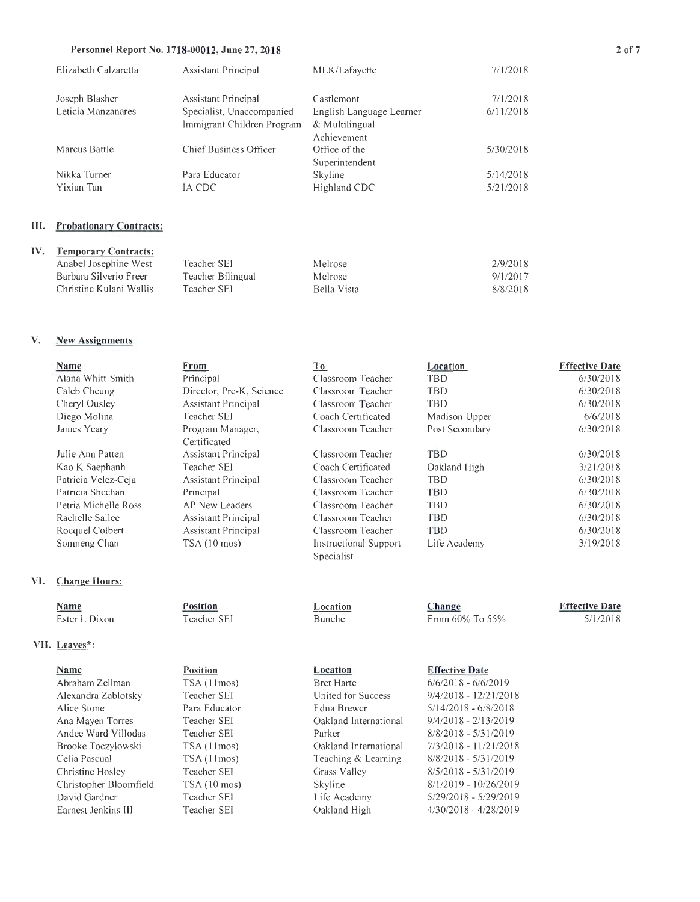#### Personnel Report No. 1718-00012, June 27, 2018

| <b>Assistant Principal</b> | MLK/Lafayette            | 7/1/2018  |
|----------------------------|--------------------------|-----------|
| <b>Assistant Principal</b> | Castlemont               | 7/1/2018  |
| Specialist, Unaccompanied  | English Language Learner | 6/11/2018 |
| Immigrant Children Program | & Multilingual           |           |
|                            | Achievement              |           |
| Chief Business Officer     | Office of the            | 5/30/2018 |
|                            | Superintendent           |           |
| Para Educator              | Skyline                  | 5/14/2018 |
| IA CDC                     | Highland CDC             | 5/21/2018 |
|                            |                          |           |

#### **III.** Probationary Contracts:

| IV. Temporary Contracts: |                   |             |          |
|--------------------------|-------------------|-------------|----------|
| Anabel Josephine West    | Teacher SEI       | Melrose     | 2/9/2018 |
| Barbara Silverio Freer   | Teacher Bilingual | Melrose     | 9/1/2017 |
| Christine Kulani Wallis  | Teacher SEI       | Bella Vista | 8/8/2018 |
|                          |                   |             |          |

#### V. **New Assignments**

IV.

| Name                 | From                       | <u>To</u>             | Location       | <b>Effective Date</b> |
|----------------------|----------------------------|-----------------------|----------------|-----------------------|
| Alana Whitt-Smith    | Principal                  | Classroom Teacher     | TBD            | 6/30/2018             |
| Caleb Cheung         | Director, Pre-K, Science   | Classroom Teacher     | TBD            | 6/30/2018             |
| Cheryl Ousley        | <b>Assistant Principal</b> | Classroom Teacher     | TBD            | 6/30/2018             |
| Diego Molina         | Teacher SEI                | Coach Certificated    | Madison Upper  | 6/6/2018              |
| James Yeary          | Program Manager,           | Classroom Teacher     | Post Secondary | 6/30/2018             |
|                      | Certificated               |                       |                |                       |
| Julie Ann Patten     | Assistant Principal        | Classroom Teacher     | <b>TBD</b>     | 6/30/2018             |
| Kao K Saephanh       | Teacher SEI                | Coach Certificated    | Oakland High   | 3/21/2018             |
| Patricia Velez-Ceja  | Assistant Principal        | Classroom Teacher     | TBD            | 6/30/2018             |
| Patricia Sheehan     | Principal                  | Classroom Teacher     | <b>TBD</b>     | 6/30/2018             |
| Petria Michelle Ross | AP New Leaders             | Classroom Teacher     | TBD            | 6/30/2018             |
| Rachelle Sallee      | <b>Assistant Principal</b> | Classroom Teacher     | TBD            | 6/30/2018             |
| Rocquel Colbert      | Assistant Principal        | Classroom Teacher     | TBD            | 6/30/2018             |
| Somneng Chan         | $TSA(10 \text{ mos})$      | Instructional Support | Life Academy   | 3/19/2018             |
|                      |                            | Specialist            |                |                       |
| <b>Change Hours:</b> |                            |                       |                |                       |
| Name                 | <b>Position</b>            | Location              | Change         | <b>Effective Date</b> |

Bunche

Location

#### **Name** Ester L Dixon

## VII. Leaves\*:

VI.

#### **Name**

Abraham Zellman Alexandra Zablotsky Alice Stone Ana Mayen Torres Andee Ward Villodas Brooke Toczylowski Celia Pascual Christine Hosley Christopher Bloomfield David Gardner Earnest Jenkins III

Position Teacher SEI

**Position** 

## TSA (11mos) Teacher SEI Para Educator Teacher SEI Teacher SEI

TSA (11mos) TSA (11mos) Teacher SEI TSA (10 mos) Teacher SEI Teacher SEI

# **Effective Date**

From 60% To 55%

5/1/2018

**Bret Harte** United for Success Edna Brewer Oakland International Parker Oakland International Teaching & Learning Grass Valley Skyline Life Academy Oakland High

#### $6/6/2018 - 6/6/2019$  $9/4/2018 - 12/21/2018$  $5/14/2018 - 6/8/2018$  $9/4/2018 - 2/13/2019$  $8/8/2018 - 5/31/2019$ 7/3/2018 - 11/21/2018  $8/8/2018 - 5/31/2019$  $8/5/2018$  -  $5/31/2019$  $8/1/2019 - 10/26/2019$  $5/29/2018 - 5/29/2019$  $4/30/2018 - 4/28/2019$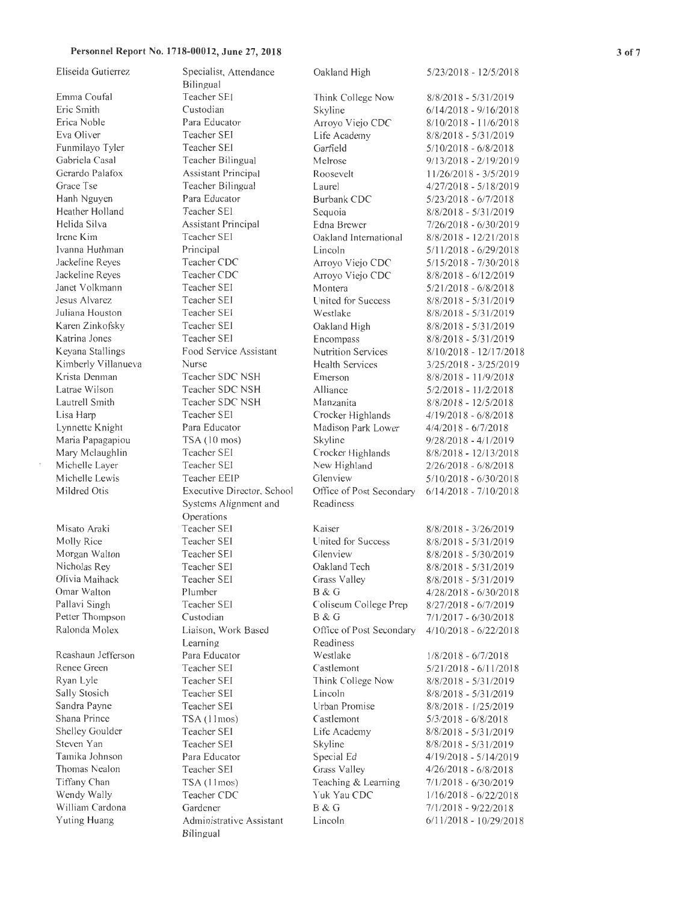#### **Personnel Report No. 1718-00012, June 27, 2018**

| Eliseida Gutierrez  | Specialist, Attendance<br>Bilingual | Oakland High              | 5/23/2018 - 12/5/2018    |
|---------------------|-------------------------------------|---------------------------|--------------------------|
| Emma Coufal         | Teacher SEI                         | Think College Now         | $8/8/2018 - 5/31/2019$   |
| Eric Smith          | Custodian                           | Skyline                   | $6/14/2018 - 9/16/2018$  |
| Erica Noble         | Para Educator                       | Arroyo Viejo CDC          | $8/10/2018 - 11/6/2018$  |
| Eva Oliver          | Teacher SEI                         | Life Academy              | $8/8/2018 - 5/31/2019$   |
| Funmilayo Tyler     | Teacher SEI                         | Garfield                  | $5/10/2018 - 6/8/2018$   |
| Gabriela Casal      | Teacher Bilingual                   | Melrose                   | $9/13/2018 - 2/19/2019$  |
| Gerardo Palafox     | Assistant Principal                 | Roosevelt                 | 11/26/2018 - 3/5/2019    |
| Grace Tse           | Teacher Bilingual                   | Laurel                    | $4/27/2018 - 5/18/2019$  |
| Hanh Nguyen         | Para Educator                       | Burbank CDC               | $5/23/2018 - 6/7/2018$   |
| Heather Holland     | Teacher SEI                         | Sequoia                   | $8/8/2018 - 5/31/2019$   |
| Helida Silva        | <b>Assistant Principal</b>          | Edna Brewer               | 7/26/2018 - 6/30/2019    |
| Irene Kim           | Teacher SEI                         | Oakland International     | $8/8/2018 - 12/21/2018$  |
| Ivanna Huthman      | Principal                           | Lincoln                   | $5/11/2018 - 6/29/2018$  |
| Jackeline Reyes     | Teacher CDC                         | Arroyo Viejo CDC          | $5/15/2018 - 7/30/2018$  |
| Jackeline Reyes     | Teacher CDC                         | Arroyo Viejo CDC          | $8/8/2018 - 6/12/2019$   |
| Janet Volkmann      | Teacher SEI                         | Montera                   | $5/21/2018 - 6/8/2018$   |
| Jesus Alvarez       | Teacher SEI                         | United for Success        | $8/8/2018 - 5/31/2019$   |
| Juliana Houston     | Teacher SEI                         | Westlake                  | $8/8/2018 - 5/31/2019$   |
| Karen Zinkofsky     | <b>Teacher SEI</b>                  | Oakland High              | $8/8/2018 - 5/31/2019$   |
| Katrina Jones       | Teacher SEI                         | Encompass                 | $8/8/2018 - 5/31/2019$   |
| Keyana Stallings    | Food Service Assistant              | <b>Nutrition Services</b> | $8/10/2018 - 12/17/2018$ |
| Kimberly Villanueva | Nurse                               | <b>Health Services</b>    | $3/25/2018 - 3/25/2019$  |
| Krista Denman       | Teacher SDC NSH                     | Emerson                   | $8/8/2018 - 11/9/2018$   |
| Latrae Wilson       | Teacher SDC NSH                     | Alliance                  | $5/2/2018 - 11/2/2018$   |
| Lautrell Smith      | Teacher SDC NSH                     | Manzanita                 | $8/8/2018 - 12/5/2018$   |
| Lisa Harp           | Teacher SE1                         | Crocker Highlands         | $4/19/2018 - 6/8/2018$   |
| Lynnette Knight     | Para Educator                       | Madison Park Lower        | $4/4/2018 - 6/7/2018$    |
| Maria Papagapiou    | TSA (10 mos)                        | Skyline                   | $9/28/2018 - 4/1/2019$   |
| Mary Mclaughlin     | Teacher SEI                         | Crocker Highlands         | $8/8/2018 - 12/13/2018$  |
| Michelle Layer      | Teacher SEI                         | New Highland              | $2/26/2018 - 6/8/2018$   |
| Michelle Lewis      | Teacher EEIP                        | Glenview                  | $5/10/2018 - 6/30/2018$  |
| Mildred Otis        | Executive Director, School          | Office of Post Secondary  | $6/14/2018 - 7/10/2018$  |
|                     | Systems Alignment and               | Readiness                 |                          |
|                     | Operations                          |                           |                          |
| Misato Araki        | <b>Teacher SEI</b>                  | Kaiser                    | $8/8/2018 - 3/26/2019$   |
| Molly Rice          | Teacher SEI                         | United for Success        | $8/8/2018 - 5/31/2019$   |
| Morgan Walton       | Teacher SEI                         | Glenview                  | 8/8/2018 - 5/30/2019     |
| Nicholas Rey        | Teacher SEI                         | Oakland Tech              | $8/8/2018 - 5/31/2019$   |
| Olivia Maihack      | Teacher SEI                         | Grass Valley              | $8/8/2018 - 5/31/2019$   |
| Omar Walton         | Plumber                             | B & G                     | $4/28/2018 - 6/30/2018$  |
| Pallavi Singh       | Teacher SEI                         | Coliseum College Prep     | $8/27/2018 - 6/7/2019$   |
| Petter Thompson     | Custodian                           | B & G                     | $7/1/2017 - 6/30/2018$   |
| Ralonda Molex       | Liaison, Work Based                 | Office of Post Secondary  | $4/10/2018 - 6/22/2018$  |
|                     | Learning                            | Readiness                 |                          |
| Reashaun Jefferson  | Para Educator                       | Westlake                  | $1/8/2018 - 6/7/2018$    |
| Renee Green         | Teacher SEI                         | Castlemont                | 5/21/2018 - 6/11/2018    |
| Ryan Lyle           | Teacher SEI                         | Think College Now         | 8/8/2018 - 5/31/2019     |
| Sally Stosich       | Teacher SEI                         | Lincoln                   | $8/8/2018 - 5/31/2019$   |
| Sandra Payne        | Teacher SEI                         | Urban Promise             | $8/8/2018 - 1/25/2019$   |
| Shana Prince        | TSA (11mos)                         | Castlemont                | $5/3/2018 - 6/8/2018$    |
| Shelley Goulder     | Teacher SEI                         | Life Academy              | $8/8/2018 - 5/31/2019$   |
| Steven Yan          | Teacher SEI                         | Skyline                   | 8/8/2018 - 5/31/2019     |
| Tamika Johnson      | Para Educator                       | Special Ed                | $4/19/2018 - 5/14/2019$  |
| Thomas Nealon       | Teacher SEI                         | Grass Valley              | $4/26/2018 - 6/8/2018$   |
| Tiffany Chan        | TSA (11mos)                         | Teaching & Learning       | 7/1/2018 - 6/30/2019     |
| Wendy Wally         | Teacher CDC                         | Yuk Yau CDC               | $1/16/2018 - 6/22/2018$  |
| William Cardona     | Gardener                            | B & G                     | 7/1/2018 - 9/22/2018     |
| Yuting Huang        | Administrative Assistant            | Lincoln                   | $6/11/2018 - 10/29/2018$ |
|                     | Bilingual                           |                           |                          |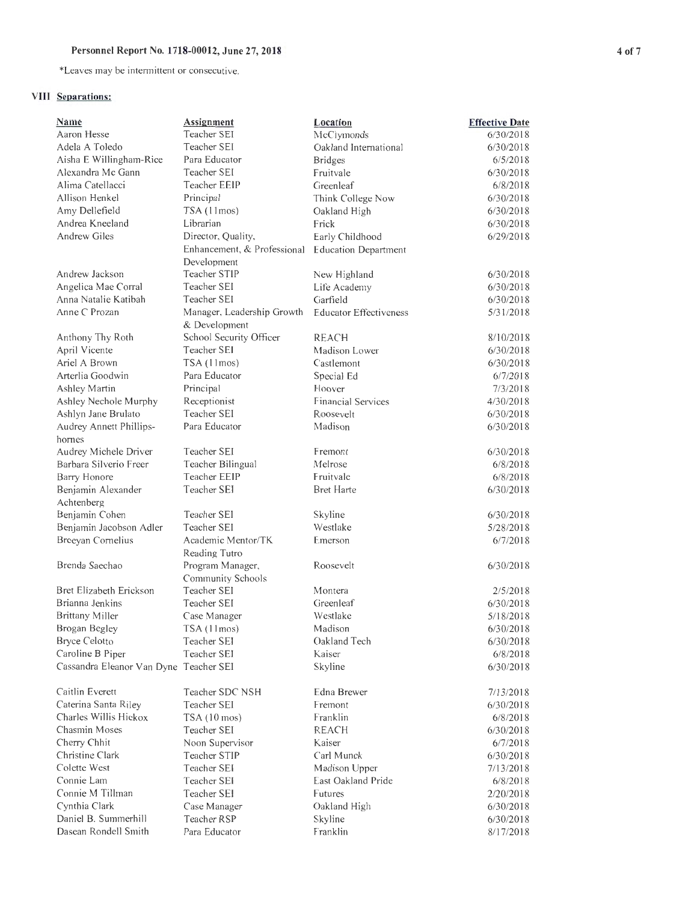### Personnel Report No. 1718-00012, June 27, 2018 4 of 7

\*Leaves may be intennittent or consecutive.

## **VIII Separations:**

| Name                                   | Assignment                  | Location                      | <b>Effective Date</b> |
|----------------------------------------|-----------------------------|-------------------------------|-----------------------|
| Aaron Hesse                            | Teacher SEI                 | McClymonds                    | 6/30/2018             |
| Adela A Toledo                         | Teacher SEI                 | Oakland International         | 6/30/2018             |
| Aisha E Willingham-Rice                | Para Educator               | <b>Bridges</b>                | 6/5/2018              |
| Alexandra Mc Gann                      | Teacher SEI                 | Fruitvale                     | 6/30/2018             |
| Alima Catellacci                       | Teacher EEIP                | Greenleaf                     | 6/8/2018              |
| Allison Henkel                         | Principal                   | Think College Now             | 6/30/2018             |
| Amy Dellefield                         | TSA (11mos)                 | Oakland High                  | 6/30/2018             |
| Andrea Kneeland                        | Librarian                   | Frick                         | 6/30/2018             |
| Andrew Giles                           | Director, Quality,          | Early Childhood               | 6/29/2018             |
|                                        | Enhancement, & Professional | <b>Education Department</b>   |                       |
|                                        | Development                 |                               |                       |
| Andrew Jackson                         | Teacher STIP                | New Highland                  | 6/30/2018             |
| Angelica Mae Corral                    | Teacher SEI                 | Life Academy                  | 6/30/2018             |
| Anna Natalie Katibah                   | Teacher SEI                 | Garfield                      | 6/30/2018             |
| Anne C Prozan                          | Manager, Leadership Growth  | <b>Educator Effectiveness</b> | 5/31/2018             |
|                                        | & Development               |                               |                       |
| Anthony Thy Roth                       | School Security Officer     | <b>REACH</b>                  | 8/10/2018             |
| April Vicente                          | Teacher SEI                 | Madison Lower                 | 6/30/2018             |
| Ariel A Brown                          | TSA (11mos)                 | Castlemont                    | 6/30/2018             |
| Arterlia Goodwin                       | Para Educator               | Special Ed                    | 6/7/2018              |
| Ashley Martin                          | Principal                   | Hoover                        | 7/3/2018              |
| Ashley Nechole Murphy                  | Receptionist                | <b>Financial Services</b>     | 4/30/2018             |
| Ashlyn Jane Brulato                    | Teacher SEI                 | Roosevelt                     | 6/30/2018             |
| Audrey Annett Phillips-                | Para Educator               | Madison                       | 6/30/2018             |
| hornes                                 |                             |                               |                       |
| Audrey Michele Driver                  | Teacher SEI                 | Fremont                       | 6/30/2018             |
| Barbara Silverio Freer                 | Teacher Bilingual           | Melrose                       | 6/8/2018              |
| Barry Honore                           | Teacher EEIP                | Fruitvale                     | 6/8/2018              |
| Benjamin Alexander                     | Teacher SEI                 | <b>Bret Harte</b>             | 6/30/2018             |
| Achtenberg                             |                             |                               |                       |
| Benjamin Cohen                         | Teacher SEI                 | Skyline                       | 6/30/2018             |
| Benjamin Jacobson Adler                | <b>Teacher SEI</b>          | Westlake                      | 5/28/2018             |
| Breeyan Cornelius                      | Academic Mentor/TK          | Emerson                       | 6/7/2018              |
|                                        | Reading Tutro               |                               |                       |
| Brenda Saechao                         | Program Manager,            | Roosevelt                     | 6/30/2018             |
|                                        | Community Schools           |                               |                       |
| Bret Elizabeth Erickson                | Teacher SEI                 | Montera                       | 2/5/2018              |
| Brianna Jenkins                        | Teacher SEI                 | Greenleaf                     | 6/30/2018             |
| <b>Brittany Miller</b>                 | Case Manager                | Westlake                      | 5/18/2018             |
| Brogan Begley                          | TSA(11mos)                  | Madison                       | 6/30/2018             |
| <b>Bryce Celotto</b>                   | Teacher SEI                 | Oakland Tech                  | 6/30/2018             |
| Caroline B Piper                       | Teacher SEI                 | Kaiser                        | 6/8/2018              |
| Cassandra Eleanor Van Dyne Teacher SEI |                             | Skyline                       | 6/30/2018             |
|                                        |                             |                               |                       |
| Caitlin Everett                        | Teacher SDC NSH             | Edna Brewer                   | 7/13/2018             |
| Caterina Santa Riley                   | Teacher SEI                 | Fremont                       | 6/30/2018             |
| Charles Willis Hickox                  | TSA (10 mos)                | Franklin                      | 6/8/2018              |
| Chasmin Moses                          | Teacher SEI                 | REACH                         | 6/30/2018             |
| Cherry Chhit                           | Noon Supervisor             | Kaiser                        | 6/7/2018              |
| Christine Clark                        | Teacher STIP                | Carl Munck                    | 6/30/2018             |
| Colette West                           | Teacher SEI                 | Madison Upper                 | 7/13/2018             |
| Connie Lam                             | Teacher SEI                 | East Oakland Pride            | 6/8/2018              |
| Connie M Tillman                       | Teacher SEI                 | Futures                       | 2/20/2018             |
| Cynthia Clark                          | Case Manager                | Oakland High                  | 6/30/2018             |
| Daniel B. Summerhill                   | Teacher RSP                 | Skyline                       | 6/30/2018             |
| Dasean Rondell Smith                   | Para Educator               | Franklin                      | 8/17/2018             |
|                                        |                             |                               |                       |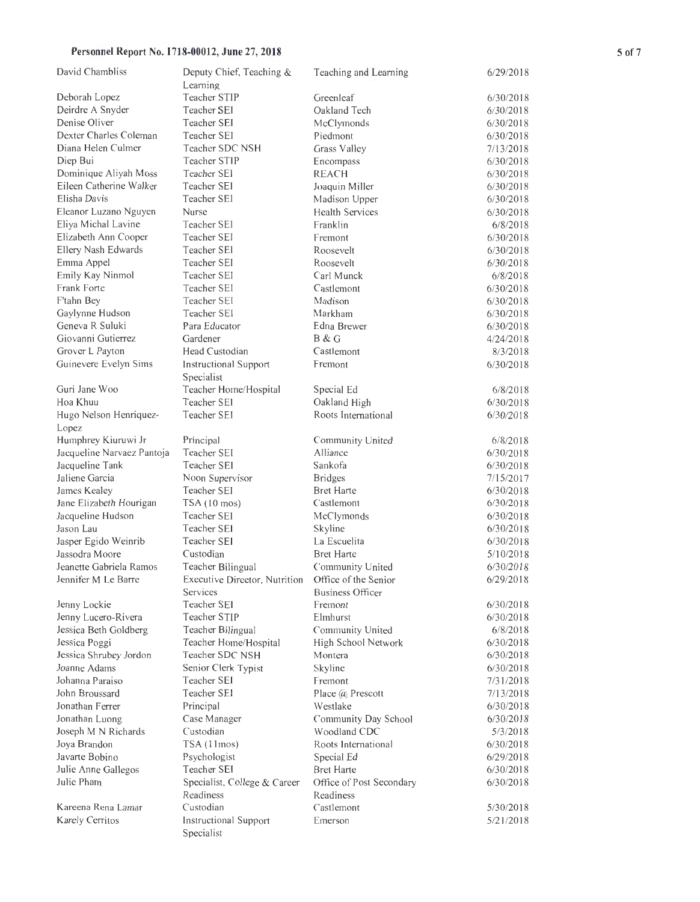#### Personnel Report No. 1718-00012, June 27, 2018 5 5 5 5 5 5 5 5 5 5 5 5 5 5 5 5 5 7

| David Chambliss                               | Deputy Chief, Teaching &                           | Teaching and Learning        | 6/29/2018 |
|-----------------------------------------------|----------------------------------------------------|------------------------------|-----------|
|                                               | Learning                                           |                              |           |
| Deborah Lopez                                 | Teacher STIP                                       | Greenleaf                    | 6/30/2018 |
| Deirdre A Snyder                              | Teacher SEI                                        | Oakland Tech                 | 6/30/2018 |
| Denise Oliver                                 | Teacher SEI                                        | McClymonds                   | 6/30/2018 |
| Dexter Charles Coleman                        | Teacher SEI                                        | Piedmont                     | 6/30/2018 |
| Diana Helen Culmer                            | Teacher SDC NSH                                    | Grass Valley                 | 7/13/2018 |
| Diep Bui                                      | Teacher STIP                                       | Encompass                    | 6/30/2018 |
| Dominique Aliyah Moss                         | Teacher SEI                                        | <b>REACH</b>                 | 6/30/2018 |
| Eileen Catherine Walker                       | Teacher SEI                                        | Joaquin Miller               | 6/30/2018 |
| Elisha Davis                                  | Teacher SEI                                        | Madison Upper                | 6/30/2018 |
| Eleanor Luzano Nguyen                         | Nurse                                              | <b>Health Services</b>       | 6/30/2018 |
| Eliya Michal Lavine                           | Teacher SEI                                        | Franklin                     | 6/8/2018  |
| Elizabeth Ann Cooper                          | Teacher SEI                                        | Fremont                      | 6/30/2018 |
| Ellery Nash Edwards                           | Teacher SEI                                        | Roosevelt                    | 6/30/2018 |
| Emma Appel                                    | Teacher SEI                                        | Roosevelt                    | 6/30/2018 |
| Emily Kay Ninmol                              | Teacher SEI                                        | Carl Munck                   | 6/8/2018  |
| Frank Forte                                   | Teacher SEI                                        | Castlemont                   | 6/30/2018 |
| F'tahn Bey                                    | <b>Teacher SEI</b>                                 | Madison                      | 6/30/2018 |
| Gaylynne Hudson                               | Teacher SEI                                        | Markham                      | 6/30/2018 |
| Geneva R Suluki                               | Para Educator                                      | Edna Brewer                  | 6/30/2018 |
| Giovanni Gutierrez                            | Gardener                                           | B & G                        | 4/24/2018 |
| Grover L Payton                               | Head Custodian                                     | Castlemont                   | 8/3/2018  |
| Guinevere Evelyn Sims                         | Instructional Support                              | Fremont                      | 6/30/2018 |
|                                               | Specialist                                         |                              |           |
| Guri Jane Woo                                 | Teacher Home/Hospital                              | Special Ed                   | 6/8/2018  |
| Hoa Khuu                                      | Teacher SEI                                        | Oakland High                 | 6/30/2018 |
| Hugo Nelson Henriquez-                        | Teacher SEI                                        | Roots International          | 6/30/2018 |
| Lopez                                         |                                                    |                              |           |
| Humphrey Kiuruwi Jr                           | Principal                                          |                              |           |
|                                               | Teacher SEI                                        | Community United<br>Alliance | 6/8/2018  |
| Jacqueline Narvaez Pantoja<br>Jacqueline Tank | Teacher SEI                                        | Sankofa                      | 6/30/2018 |
| Jaliene Garcia                                |                                                    |                              | 6/30/2018 |
|                                               | Noon Supervisor<br>Teacher SEI                     | <b>Bridges</b>               | 7/15/2017 |
| James Kealey                                  |                                                    | <b>Bret Harte</b>            | 6/30/2018 |
| Jane Elizabeth Hourigan                       | TSA (10 mos)                                       | Castlemont                   | 6/30/2018 |
| Jacqueline Hudson                             | Teacher SEI                                        | McClymonds                   | 6/30/2018 |
| Jason Lau                                     | Teacher SEI                                        | Skyline                      | 6/30/2018 |
| Jasper Egido Weinrib                          | Teacher SEI                                        | La Escuelita                 | 6/30/2018 |
| Jassodra Moore                                | Custodian                                          | <b>Bret Harte</b>            | 5/10/2018 |
| Jeanette Gabriela Ramos                       | Teacher Bilingual                                  | Community United             | 6/30/2018 |
| Jennifer M Le Barre                           | Executive Director, Nutrition Office of the Senior |                              | 6/29/2018 |
|                                               | Services                                           | Business Officer             |           |
| Jenny Lockie                                  | Teacher SEI                                        | Fremont                      | 6/30/2018 |
| Jenny Lucero-Rivera                           | Teacher STIP                                       | Elmhurst                     | 6/30/2018 |
| Jessica Beth Goldberg                         | Teacher Bilingual                                  | Community United             | 6/8/2018  |
| Jessica Poggi                                 | Teacher Home/Hospital                              | High School Network          | 6/30/2018 |
| Jessica Shrubey Jordon                        | Teacher SDC NSH                                    | Montera                      | 6/30/2018 |
| Joanne Adams                                  | Senior Clerk Typist                                | Skyline                      | 6/30/2018 |
| Johanna Paraiso                               | Teacher SEI                                        | Fremont                      | 7/31/2018 |
| John Broussard                                | Teacher SEI                                        | Place $(a)$ Prescott         | 7/13/2018 |
| Jonathan Ferrer                               | Principal                                          | Westlake                     | 6/30/2018 |
| Jonathan Luong                                | Case Manager                                       | Community Day School         | 6/30/2018 |
| Joseph M N Richards                           | Custodian                                          | Woodland CDC                 | 5/3/2018  |
| Joya Brandon                                  | TSA (11mos)                                        | Roots International          | 6/30/2018 |
| Javarte Bobino                                | Psychologist                                       | Special Ed                   | 6/29/2018 |
| Julie Anne Gallegos                           | Teacher SEI                                        | <b>Bret Harte</b>            | 6/30/2018 |
| Julie Pham                                    | Specialist, College & Career                       | Office of Post Secondary     | 6/30/2018 |
|                                               | Readiness                                          | Readiness                    |           |
| Kareena Rena Lamar                            | Custodian                                          | Castlemont                   | 5/30/2018 |
| Karely Cerritos                               | Instructional Support                              | Emerson                      | 5/21/2018 |
|                                               | Specialist                                         |                              |           |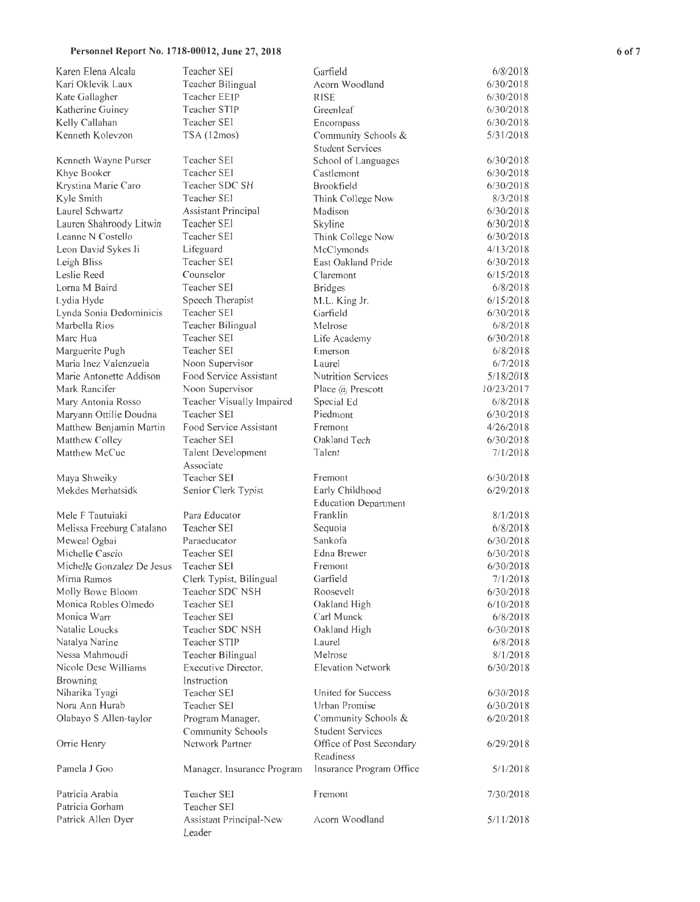| Personnel Report No. 1718-00012, June 27, 2018 |                                        |                                                |                       | 6 of 7 |
|------------------------------------------------|----------------------------------------|------------------------------------------------|-----------------------|--------|
| Karen Elena Alcala                             | Teacher SEI                            | Garfield                                       | 6/8/2018              |        |
| Kari Oklevik Laux                              | Teacher Bilingual                      | Acorn Woodland                                 | 6/30/2018             |        |
| Kate Gallagher                                 | Teacher EEIP                           | <b>RISE</b>                                    | 6/30/2018             |        |
| Katherine Guiney                               | Teacher STIP                           | Greenleaf                                      | 6/30/2018             |        |
| Kelly Callahan                                 | Teacher SEI                            | Encompass                                      | 6/30/2018             |        |
| Kenneth Kolevzon                               | TSA (12mos)                            | Community Schools &<br><b>Student Services</b> | 5/31/2018             |        |
| Kenneth Wayne Purser                           | Teacher SEI                            | School of Languages                            | 6/30/2018             |        |
| Khye Booker                                    | Teacher SEI                            | Castlemont                                     | 6/30/2018             |        |
| Krystina Marie Caro                            | Teacher SDC SH                         | <b>Brookfield</b>                              | 6/30/2018             |        |
| Kyle Smith                                     | Teacher SEI                            | Think College Now                              | 8/3/2018              |        |
| Laurel Schwartz                                | Assistant Principal                    | Madison                                        | 6/30/2018             |        |
| Lauren Shahroody Litwin                        | Teacher SEI                            | Skyline                                        | 6/30/2018             |        |
| Leanne N Costello                              | Teacher SEI                            | Think College Now                              | 6/30/2018             |        |
| Leon David Sykes Ii                            | Lifeguard                              | McClymonds                                     | 4/13/2018             |        |
| Leigh Bliss                                    | Teacher SEI                            | East Oakland Pride                             | 6/30/2018             |        |
| Leslie Reed                                    | Counselor                              | Claremont                                      | 6/15/2018             |        |
| Lorna M Baird                                  | Teacher SEI                            | <b>Bridges</b>                                 | 6/8/2018              |        |
| Lydia Hyde                                     | Speech Therapist                       | M.L. King Jr.                                  | 6/15/2018             |        |
| Lynda Sonia Dedominicis                        | Teacher SEI                            | Garfield                                       | 6/30/2018             |        |
| Marbella Rios                                  | Teacher Bilingual                      | Melrose                                        | 6/8/2018              |        |
| Marc Hua                                       | Teacher SEI                            | Life Academy                                   | 6/30/2018             |        |
| Marguerite Pugh                                | Teacher SEI                            | Emerson                                        | 6/8/2018              |        |
| Maria Inez Valenzuela                          | Noon Supervisor                        | Laurel                                         | 6/7/2018              |        |
| Marie Antonette Addison                        | Food Service Assistant                 | Nutrition Services                             | 5/18/2018             |        |
| Mark Rancifer                                  | Noon Supervisor                        | Place @ Prescott                               | 10/23/2017            |        |
| Mary Antonia Rosso                             | Teacher Visually Impaired              | Special Ed                                     | 6/8/2018              |        |
| Maryann Ottilie Doudna                         | Teacher SEI                            | Piedmont                                       | 6/30/2018             |        |
| Matthew Benjamin Martin                        | Food Service Assistant                 | Fremont                                        | 4/26/2018             |        |
| Matthew Colley                                 | Teacher SEI                            | Oakland Tech                                   | 6/30/2018             |        |
| Matthew McCue                                  | Talent Development<br>Associate        | Talent                                         | 7/1/2018              |        |
| Maya Shweiky                                   | Teacher SEI                            | Fremont                                        | 6/30/2018             |        |
| Mekdes Merhatsidk                              | Senior Clerk Typist                    | Early Childhood<br><b>Education Department</b> | 6/29/2018             |        |
| Mele F Tautuiaki                               | Para Educator                          | Franklin                                       | 8/1/2018              |        |
| Melissa Freeburg Catalano                      | Teacher SEI                            | Sequoia                                        | 6/8/2018              |        |
| Meweal Ogbai                                   | Paraeducator                           | Sankofa                                        | 6/30/2018             |        |
| Michelle Cascio                                | Teacher SEI                            | Edna Brewer                                    | 6/30/2018             |        |
| Michelle Gonzalez De Jesus                     | Teacher SEI                            | Fremont                                        | 6/30/2018             |        |
| Mirna Ramos                                    | Clerk Typist, Bilingual                | Garfield                                       | 7/1/2018              |        |
| Molly Bowe Bloom                               | Teacher SDC NSH                        | Roosevelt                                      | 6/30/2018             |        |
| Monica Robles Olmedo                           | Teacher SEI<br>Teacher SEI             | Oakland High                                   | 6/10/2018<br>6/8/2018 |        |
| Monica Warr<br>Natalie Loucks                  | Teacher SDC NSH                        | Carl Munck<br>Oakland High                     | 6/30/2018             |        |
|                                                | Teacher STIP                           | Laurel                                         | 6/8/2018              |        |
| Natalya Narine<br>Nessa Mahmoudi               | Teacher Bilingual                      | Melrose                                        | 8/1/2018              |        |
| Nicole Dese Williams                           | Executive Director.                    | <b>Elevation Network</b>                       | 6/30/2018             |        |
| Browning                                       | Instruction                            |                                                |                       |        |
| Niharika Tyagi                                 | Teacher SEI                            | United for Success                             | 6/30/2018             |        |
| Nora Ann Hurab                                 | Teacher SEI                            | Urban Promise                                  | 6/30/2018             |        |
| Olabayo S Allen-taylor                         | Program Manager,                       | Community Schools &                            | 6/20/2018             |        |
|                                                | Community Schools                      | <b>Student Services</b>                        |                       |        |
| Orrie Henry                                    | Network Partner                        | Office of Post Secondary<br>Readiness          | 6/29/2018             |        |
| Pamela J Goo                                   | Manager, Insurance Program             | Insurance Program Office                       | 5/1/2018              |        |
| Patricia Arabia                                | Teacher SEI                            | Fremont                                        | 7/30/2018             |        |
| Patricia Gorham<br>Patrick Allen Dyer          | Teacher SEI<br>Assistant Principal-New | Acorn Woodland                                 | 5/11/2018             |        |
|                                                | Leader                                 |                                                |                       |        |